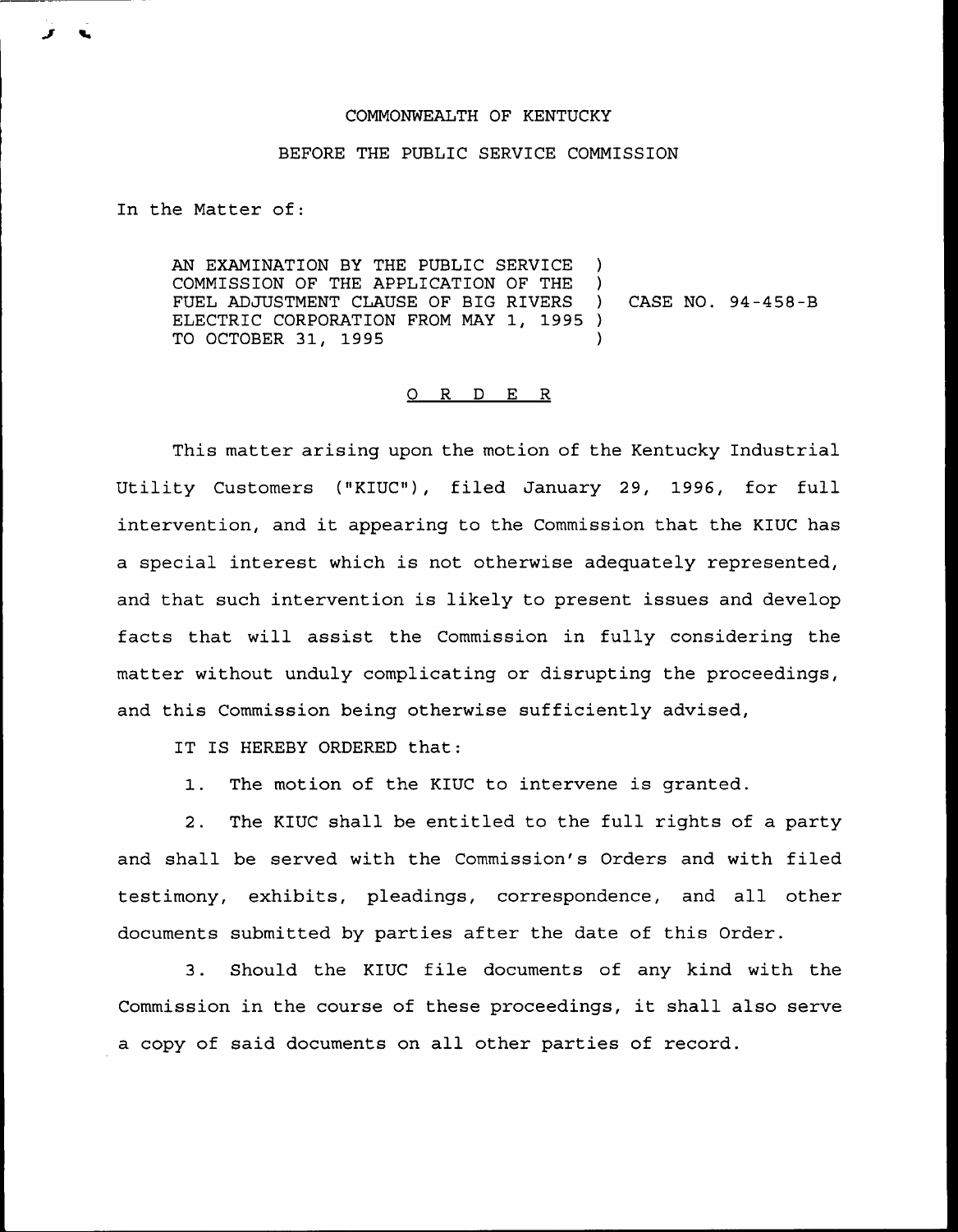## COMMONWEALTH OF KENTUCKY

## BEFORE THE PUBLIC SERVICE COMMISSION

In the Matter of:

AN EXAMINATION BY THE PUBLIC SERVICE COMMISSION OF THE APPLICATION OF THE ) FUEL ADJUSTMENT CLAUSE OF BIG RIVERS ) CASE NO. 94-458-B ELECTRIC CORPORATION FROM MAY 1, 1995 )<br>TO OCTOBER 31, 1995 TO OCTOBER 31, 1995 )

## 0 R <sup>D</sup> E R

This matter arising upon the motion of the Kentucky Industrial Utility Customers ("KIUC"), filed January 29, 1996, for full intervention, and it appearing to the Commission that the KIUC has a special interest which is not otherwise adequately represented, and that such intervention is likely to present issues and develop facts that will assist the Commission in fully considering the matter without unduly complicating or disrupting the proceedings, and this Commission being otherwise sufficiently advised,

IT IS HEREBY ORDERED that:

1. The motion of the KIUC to intervene is granted.

2. The KIUC shall be entitled to the full rights of a party and shall be served with the Commission's Orders and with filed testimony, exhibits, pleadings, correspondence, and all other documents submitted by parties after the date of this Order.

3. Should the KIUC file documents of any kind with the Commission in the course of these proceedings, it shall also serve a copy of said documents on all other parties of record.